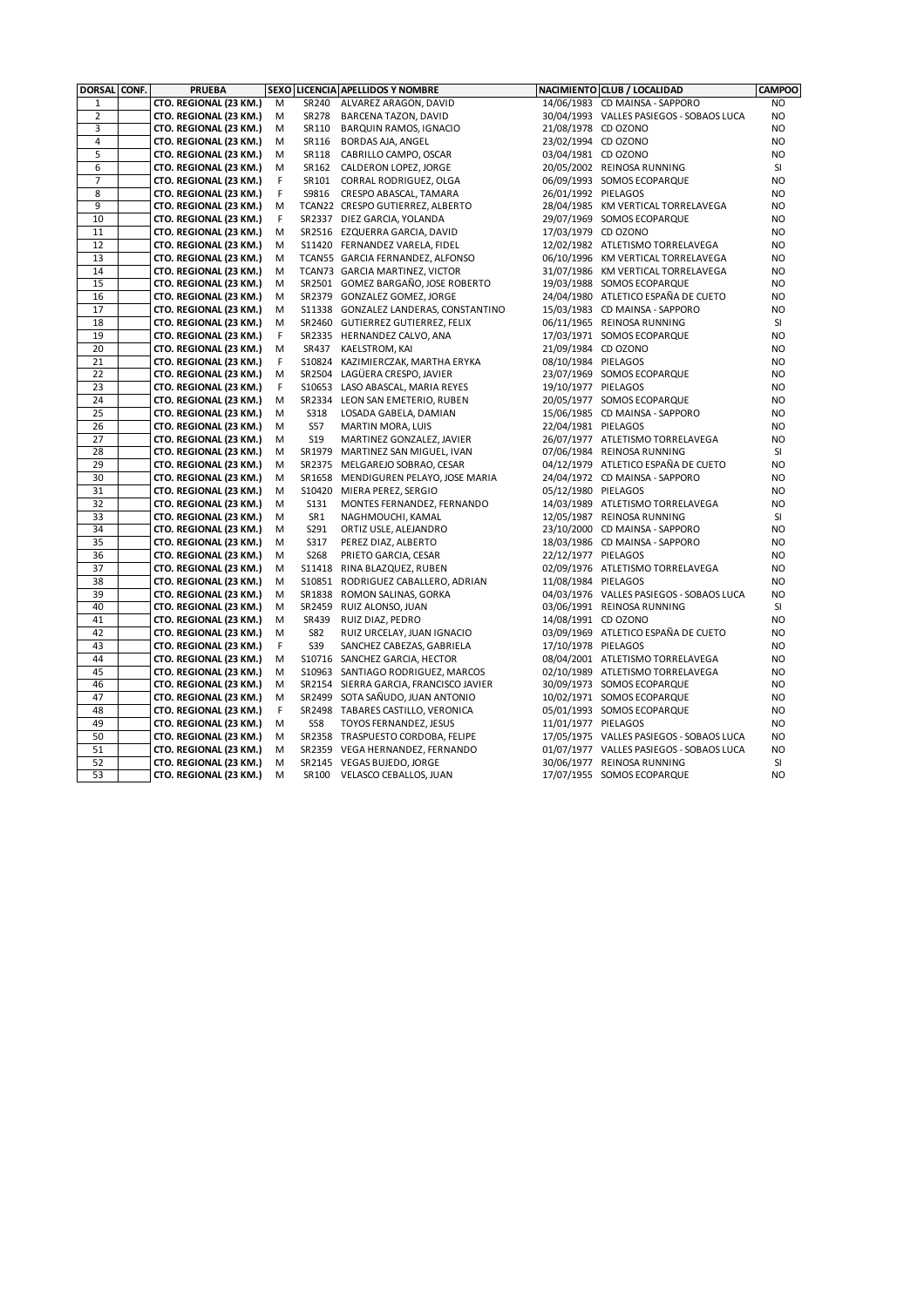| <b>DORSAL</b>  | CONF. | <b>PRUEBA</b>                                    |        |             | SEXO LICENCIA APELLIDOS Y NOMBRE           |                     | NACIMIENTO CLUB / LOCALIDAD                                  | <b>CAMPOO</b>          |
|----------------|-------|--------------------------------------------------|--------|-------------|--------------------------------------------|---------------------|--------------------------------------------------------------|------------------------|
| $1\,$          |       | CTO. REGIONAL (23 KM.)                           | M      | SR 240      | ALVAREZ ARAGON, DAVID                      |                     | 14/06/1983 CD MAINSA - SAPPORO                               | NO.                    |
| $\overline{2}$ |       | CTO. REGIONAL (23 KM.)                           | M      |             | SR278 BARCENA TAZON, DAVID                 |                     | 30/04/1993 VALLES PASIEGOS - SOBAOS LUCA                     | NO.                    |
| 3              |       | CTO. REGIONAL (23 KM.)                           | M      | SR110       | BARQUIN RAMOS, IGNACIO                     | 21/08/1978 CD OZONO |                                                              | N <sub>O</sub>         |
| 4              |       | CTO. REGIONAL (23 KM.)                           | M      | SR116       | <b>BORDAS AJA, ANGEL</b>                   | 23/02/1994 CD OZONO |                                                              | N <sub>O</sub>         |
| $\overline{5}$ |       | CTO. REGIONAL (23 KM.)                           | M      |             | SR118 CABRILLO CAMPO, OSCAR                | 03/04/1981 CD OZONO |                                                              | <b>NO</b>              |
| 6              |       | CTO. REGIONAL (23 KM.)                           | M      |             | SR162 CALDERON LOPEZ, JORGE                |                     | 20/05/2002 REINOSA RUNNING                                   | SI                     |
| 7              |       | CTO. REGIONAL (23 KM.)                           | F      |             | SR101 CORRAL RODRIGUEZ, OLGA               |                     | 06/09/1993 SOMOS ECOPARQUE                                   | NO                     |
| 8              |       | CTO. REGIONAL (23 KM.)                           | F      |             | S9816 CRESPO ABASCAL, TAMARA               | 26/01/1992 PIELAGOS |                                                              | <b>NO</b>              |
| 9              |       | CTO. REGIONAL (23 KM.)                           | M      |             | TCAN22 CRESPO GUTIERREZ, ALBERTO           |                     | 28/04/1985 KM VERTICAL TORRELAVEGA                           | <b>NO</b>              |
| 10             |       | CTO. REGIONAL (23 KM.)                           | F      |             | SR2337 DIEZ GARCIA, YOLANDA                |                     | 29/07/1969 SOMOS ECOPARQUE                                   | <b>NO</b>              |
| 11             |       | CTO. REGIONAL (23 KM.)                           | M      |             | SR2516 EZQUERRA GARCIA, DAVID              | 17/03/1979 CD OZONO |                                                              | <b>NO</b>              |
| 12             |       | CTO. REGIONAL (23 KM.)                           | M      |             | S11420 FERNANDEZ VARELA, FIDEL             |                     | 12/02/1982 ATLETISMO TORRELAVEGA                             | N <sub>O</sub>         |
| 13             |       | CTO. REGIONAL (23 KM.)                           | M      |             | TCAN55 GARCIA FERNANDEZ, ALFONSO           |                     | 06/10/1996 KM VERTICAL TORRELAVEGA                           | <b>NO</b>              |
| 14             |       | CTO. REGIONAL (23 KM.)                           | M      |             | TCAN73 GARCIA MARTINEZ, VICTOR             |                     | 31/07/1986 KM VERTICAL TORRELAVEGA                           | <b>NO</b>              |
| 15             |       | CTO. REGIONAL (23 KM.)                           | М      |             | SR2501 GOMEZ BARGAÑO, JOSE ROBERTO         |                     | 19/03/1988 SOMOS ECOPARQUE                                   | <b>NO</b>              |
| 16             |       | CTO. REGIONAL (23 KM.)                           | M      |             | SR2379 GONZALEZ GOMEZ, JORGE               |                     | 24/04/1980 ATLETICO ESPAÑA DE CUETO                          | <b>NO</b>              |
| 17             |       | CTO. REGIONAL (23 KM.)                           | M      |             | S11338 GONZALEZ LANDERAS, CONSTANTINO      |                     | 15/03/1983 CD MAINSA - SAPPORO                               | N <sub>O</sub>         |
| 18             |       | CTO. REGIONAL (23 KM.)                           | M      |             | SR2460 GUTIERREZ GUTIERREZ, FELIX          |                     | 06/11/1965 REINOSA RUNNING                                   | SI                     |
| 19             |       | CTO. REGIONAL (23 KM.)                           | F      |             | SR2335 HERNANDEZ CALVO, ANA                |                     | 17/03/1971 SOMOS ECOPARQUE                                   | N <sub>O</sub>         |
| 20             |       | CTO. REGIONAL (23 KM.)                           | M      | SR437       | KAELSTROM, KAI                             | 21/09/1984 CD OZONO |                                                              | <b>NO</b>              |
| 21             |       | CTO. REGIONAL (23 KM.)                           | F      |             | S10824 KAZIMIERCZAK, MARTHA ERYKA          | 08/10/1984 PIELAGOS |                                                              | <b>NO</b>              |
| 22             |       | CTO. REGIONAL (23 KM.)                           | M      |             | SR2504 LAGÜERA CRESPO, JAVIER              |                     | 23/07/1969 SOMOS ECOPARQUE                                   | <b>NO</b>              |
| 23<br>24       |       | CTO. REGIONAL (23 KM.)                           | F      |             | S10653 LASO ABASCAL, MARIA REYES           | 19/10/1977 PIELAGOS |                                                              | <b>NO</b>              |
| 25             |       | CTO. REGIONAL (23 KM.)                           | M      | <b>S318</b> | SR2334 LEON SAN EMETERIO, RUBEN            |                     | 20/05/1977 SOMOS ECOPARQUE<br>15/06/1985 CD MAINSA - SAPPORO | <b>NO</b><br><b>NO</b> |
| 26             |       | CTO. REGIONAL (23 KM.)<br>CTO. REGIONAL (23 KM.) | M<br>M | <b>S57</b>  | LOSADA GABELA, DAMIAN<br>MARTIN MORA, LUIS | 22/04/1981 PIELAGOS |                                                              | <b>NO</b>              |
| 27             |       | CTO. REGIONAL (23 KM.)                           | М      | <b>S19</b>  | MARTINEZ GONZALEZ, JAVIER                  |                     | 26/07/1977 ATLETISMO TORRELAVEGA                             | <b>NO</b>              |
| 28             |       | CTO. REGIONAL (23 KM.)                           | M      |             | SR1979 MARTINEZ SAN MIGUEL, IVAN           |                     | 07/06/1984 REINOSA RUNNING                                   | SI                     |
| 29             |       | CTO. REGIONAL (23 KM.)                           | M      |             | SR2375 MELGAREJO SOBRAO, CESAR             |                     | 04/12/1979 ATLETICO ESPAÑA DE CUETO                          | <b>NO</b>              |
| 30             |       | CTO. REGIONAL (23 KM.)                           | M      |             | SR1658 MENDIGUREN PELAYO, JOSE MARIA       |                     | 24/04/1972 CD MAINSA - SAPPORO                               | <b>NO</b>              |
| 31             |       | CTO. REGIONAL (23 KM.)                           | M      |             | S10420 MIERA PEREZ, SERGIO                 | 05/12/1980 PIELAGOS |                                                              | <b>NO</b>              |
| 32             |       | CTO. REGIONAL (23 KM.)                           | M      | S131        | MONTES FERNANDEZ, FERNANDO                 |                     | 14/03/1989 ATLETISMO TORRELAVEGA                             | <b>NO</b>              |
| 33             |       | CTO. REGIONAL (23 KM.)                           | M      | SR1         | NAGHMOUCHI, KAMAL                          |                     | 12/05/1987 REINOSA RUNNING                                   | SI                     |
| 34             |       | CTO. REGIONAL (23 KM.)                           | М      | S291        | ORTIZ USLE, ALEJANDRO                      |                     | 23/10/2000 CD MAINSA - SAPPORO                               | NO                     |
| 35             |       | CTO. REGIONAL (23 KM.)                           | М      | S317        | PEREZ DIAZ, ALBERTO                        |                     | 18/03/1986 CD MAINSA - SAPPORO                               | <b>NO</b>              |
| 36             |       | CTO. REGIONAL (23 KM.)                           | М      | S268        | PRIETO GARCIA, CESAR                       | 22/12/1977 PIELAGOS |                                                              | <b>NO</b>              |
| 37             |       | CTO. REGIONAL (23 KM.)                           | M      |             | S11418 RINA BLAZQUEZ, RUBEN                |                     | 02/09/1976 ATLETISMO TORRELAVEGA                             | <b>NO</b>              |
| 38             |       | CTO. REGIONAL (23 KM.)                           | M      |             | S10851 RODRIGUEZ CABALLERO, ADRIAN         | 11/08/1984 PIELAGOS |                                                              | <b>NO</b>              |
| 39             |       | CTO. REGIONAL (23 KM.)                           | M      |             | SR1838 ROMON SALINAS, GORKA                |                     | 04/03/1976 VALLES PASIEGOS - SOBAOS LUCA                     | N <sub>O</sub>         |
| 40             |       | CTO. REGIONAL (23 KM.)                           | M      |             | SR2459 RUIZ ALONSO, JUAN                   |                     | 03/06/1991 REINOSA RUNNING                                   | SI                     |
| 41             |       | CTO. REGIONAL (23 KM.)                           | М      | SR439       | RUIZ DIAZ, PEDRO                           | 14/08/1991 CD OZONO |                                                              | <b>NO</b>              |
| 42             |       | CTO. REGIONAL (23 KM.)                           | M      | <b>S82</b>  | RUIZ URCELAY, JUAN IGNACIO                 |                     | 03/09/1969 ATLETICO ESPAÑA DE CUETO                          | <b>NO</b>              |
| 43             |       | CTO. REGIONAL (23 KM.)                           | F      | <b>S39</b>  | SANCHEZ CABEZAS, GABRIELA                  | 17/10/1978 PIELAGOS |                                                              | <b>NO</b>              |
| 44             |       | CTO. REGIONAL (23 KM.)                           | М      |             | S10716 SANCHEZ GARCIA, HECTOR              |                     | 08/04/2001 ATLETISMO TORRELAVEGA                             | <b>NO</b>              |
| 45             |       | CTO. REGIONAL (23 KM.)                           | M      |             | S10963 SANTIAGO RODRIGUEZ, MARCOS          |                     | 02/10/1989 ATLETISMO TORRELAVEGA                             | <b>NO</b>              |
| 46             |       | CTO. REGIONAL (23 KM.)                           | M      |             | SR2154 SIERRA GARCIA, FRANCISCO JAVIER     |                     | 30/09/1973 SOMOS ECOPARQUE                                   | <b>NO</b>              |
| 47             |       | CTO. REGIONAL (23 KM.)                           | M      |             | SR2499 SOTA SAÑUDO, JUAN ANTONIO           |                     | 10/02/1971 SOMOS ECOPARQUE                                   | <b>NO</b>              |
| 48             |       | CTO. REGIONAL (23 KM.)                           | F      |             | SR2498 TABARES CASTILLO, VERONICA          |                     | 05/01/1993 SOMOS ECOPARQUE                                   | <b>NO</b>              |
| 49             |       | CTO. REGIONAL (23 KM.)                           | M      | <b>S58</b>  | TOYOS FERNANDEZ, JESUS                     | 11/01/1977 PIELAGOS |                                                              | <b>NO</b>              |
| 50             |       | CTO. REGIONAL (23 KM.)                           | M      |             | SR2358 TRASPUESTO CORDOBA, FELIPE          |                     | 17/05/1975 VALLES PASIEGOS - SOBAOS LUCA                     | <b>NO</b>              |
| 51             |       | CTO. REGIONAL (23 KM.)                           | M      |             | SR2359 VEGA HERNANDEZ, FERNANDO            |                     | 01/07/1977 VALLES PASIEGOS - SOBAOS LUCA                     | <b>NO</b>              |
| 52             |       | CTO. REGIONAL (23 KM.)                           | M      |             | SR2145 VEGAS BUJEDO, JORGE                 |                     | 30/06/1977 REINOSA RUNNING                                   | SI                     |
| 53             |       | CTO. REGIONAL (23 KM.)                           | M      |             | SR100 VELASCO CEBALLOS, JUAN               |                     | 17/07/1955 SOMOS ECOPARQUE                                   | N <sub>O</sub>         |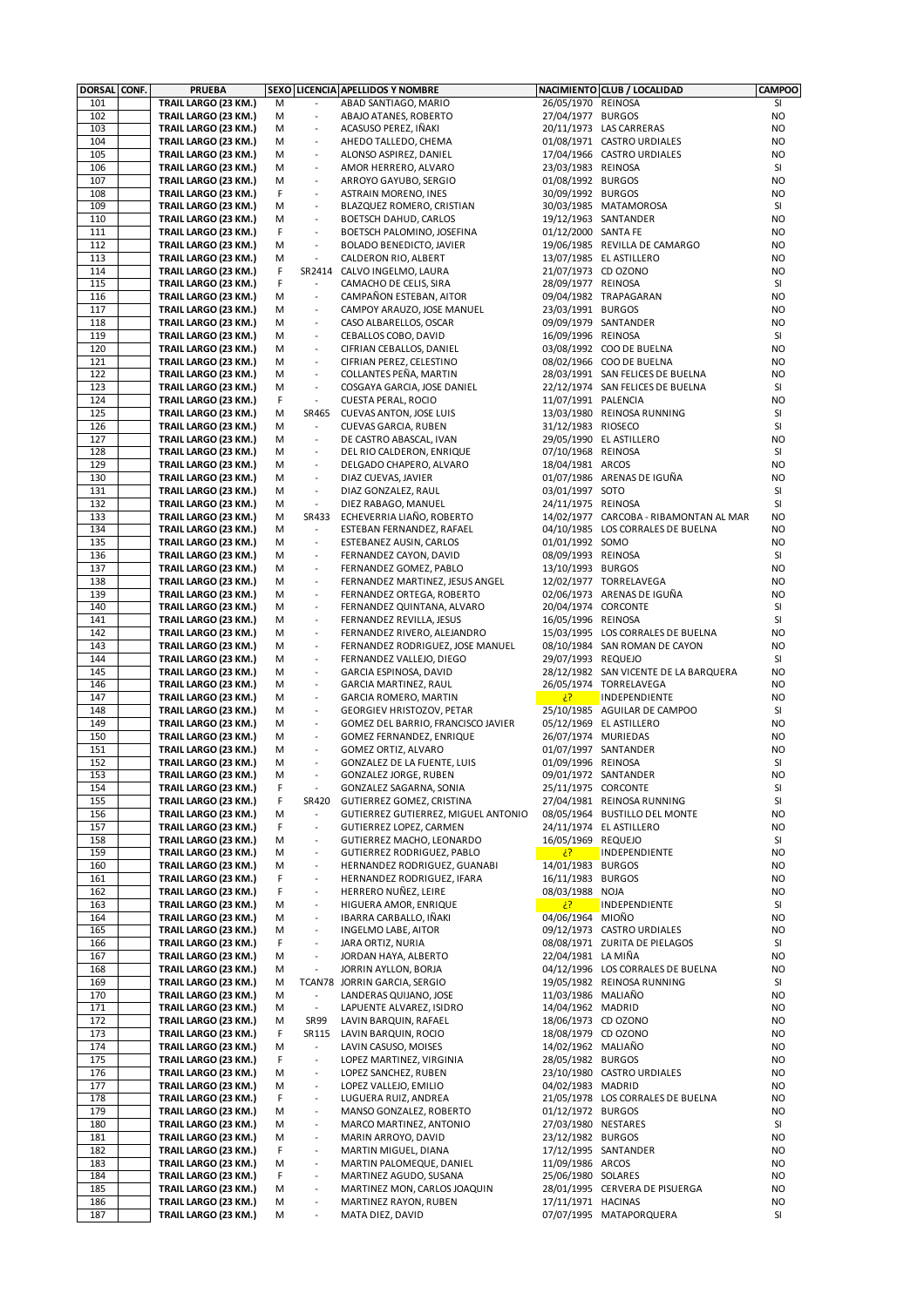| DORSAL CONF. | <b>PRUEBA</b>        |   |                          | SEXO LICENCIA APELLIDOS Y NOMBRE    |                     | NACIMIENTO CLUB / LOCALIDAD            | <b>CAMPOO</b>  |
|--------------|----------------------|---|--------------------------|-------------------------------------|---------------------|----------------------------------------|----------------|
| 101          | TRAIL LARGO (23 KM.) | M |                          | ABAD SANTIAGO, MARIO                | 26/05/1970 REINOSA  |                                        | SI             |
| 102          | TRAIL LARGO (23 KM.) | М | $\overline{\phantom{a}}$ | ABAJO ATANES, ROBERTO               | 27/04/1977 BURGOS   |                                        | NO             |
| 103          | TRAIL LARGO (23 KM.) | М |                          | ACASUSO PEREZ, IÑAKI                |                     | 20/11/1973 LAS CARRERAS                | NO             |
| 104          | TRAIL LARGO (23 KM.) | М | $\overline{\phantom{a}}$ | AHEDO TALLEDO, CHEMA                |                     | 01/08/1971 CASTRO URDIALES             | NO             |
| 105          | TRAIL LARGO (23 KM.) | М | $\overline{\phantom{a}}$ | ALONSO ASPIREZ, DANIEL              |                     | 17/04/1966 CASTRO URDIALES             | NO             |
| 106          | TRAIL LARGO (23 KM.) | М | $\overline{\phantom{a}}$ | AMOR HERRERO, ALVARO                | 23/03/1983 REINOSA  |                                        | SI             |
| 107          | TRAIL LARGO (23 KM.) | М | $\overline{\phantom{a}}$ | ARROYO GAYUBO, SERGIO               | 01/08/1992 BURGOS   |                                        | NO.            |
| 108          | TRAIL LARGO (23 KM.) | F | $\overline{a}$           | <b>ASTRAIN MORENO, INES</b>         | 30/09/1992 BURGOS   |                                        | NO.            |
| 109          | TRAIL LARGO (23 KM.) | M | $\overline{\phantom{a}}$ | BLAZQUEZ ROMERO, CRISTIAN           |                     | 30/03/1985 MATAMOROSA                  | SI             |
| 110          | TRAIL LARGO (23 KM.) | М | $\overline{\phantom{a}}$ | BOETSCH DAHUD, CARLOS               |                     | 19/12/1963 SANTANDER                   | NO             |
| 111          | TRAIL LARGO (23 KM.) | F | $\overline{\phantom{a}}$ | BOETSCH PALOMINO, JOSEFINA          | 01/12/2000 SANTA FE |                                        | NO             |
| 112          | TRAIL LARGO (23 KM.) | М | $\blacksquare$           | BOLADO BENEDICTO, JAVIER            |                     | 19/06/1985 REVILLA DE CAMARGO          | NO.            |
| 113          | TRAIL LARGO (23 KM.) | М | $\overline{a}$           | CALDERON RIO, ALBERT                |                     | 13/07/1985 EL ASTILLERO                | <b>NO</b>      |
| 114          | TRAIL LARGO (23 KM.) | F |                          | SR2414 CALVO INGELMO, LAURA         | 21/07/1973 CD OZONO |                                        | <b>NO</b>      |
| 115          | TRAIL LARGO (23 KM.) | F | $\overline{\phantom{a}}$ | CAMACHO DE CELIS, SIRA              | 28/09/1977 REINOSA  |                                        | SI             |
| 116          | TRAIL LARGO (23 KM.) | м | $\overline{\phantom{a}}$ | CAMPAÑON ESTEBAN, AITOR             |                     | 09/04/1982 TRAPAGARAN                  | NO             |
| 117          | TRAIL LARGO (23 KM.) | М | $\blacksquare$           | CAMPOY ARAUZO, JOSE MANUEL          | 23/03/1991 BURGOS   |                                        | NO.            |
| 118          | TRAIL LARGO (23 KM.) | М | $\overline{\phantom{a}}$ | CASO ALBARELLOS, OSCAR              |                     | 09/09/1979 SANTANDER                   | NO             |
| 119          | TRAIL LARGO (23 KM.) | М | $\overline{\phantom{a}}$ | CEBALLOS COBO, DAVID                | 16/09/1996 REINOSA  |                                        | SI             |
| 120          | TRAIL LARGO (23 KM.) | М | $\overline{\phantom{a}}$ | CIFRIAN CEBALLOS, DANIEL            |                     | 03/08/1992 COO DE BUELNA               | NO.            |
| 121          | TRAIL LARGO (23 KM.) | М | $\overline{\phantom{a}}$ | CIFRIAN PEREZ, CELESTINO            |                     | 08/02/1966 COO DE BUELNA               | NO.            |
| 122          | TRAIL LARGO (23 KM.) | М | $\overline{\phantom{a}}$ | COLLANTES PEÑA, MARTIN              |                     | 28/03/1991 SAN FELICES DE BUELNA       | NO             |
| 123          | TRAIL LARGO (23 KM.) | М | $\overline{\phantom{a}}$ | COSGAYA GARCIA, JOSE DANIEL         |                     | 22/12/1974 SAN FELICES DE BUELNA       | SI             |
| 124          | TRAIL LARGO (23 KM.) | F | $\blacksquare$           | <b>CUESTA PERAL, ROCIO</b>          | 11/07/1991 PALENCIA |                                        | NO.            |
| 125          | TRAIL LARGO (23 KM.) | М | SR465                    | CUEVAS ANTON, JOSE LUIS             |                     | 13/03/1980 REINOSA RUNNING             | SI             |
| 126          | TRAIL LARGO (23 KM.) | М | $\blacksquare$           | CUEVAS GARCIA, RUBEN                | 31/12/1983 RIOSECO  |                                        | SI             |
| 127          | TRAIL LARGO (23 KM.) | М | $\overline{\phantom{a}}$ | DE CASTRO ABASCAL, IVAN             |                     | 29/05/1990 EL ASTILLERO                | NO.            |
| 128          | TRAIL LARGO (23 KM.) | М | $\overline{\phantom{a}}$ | DEL RIO CALDERON, ENRIQUE           | 07/10/1968 REINOSA  |                                        | SI             |
| 129          | TRAIL LARGO (23 KM.) | М | $\blacksquare$           | DELGADO CHAPERO, ALVARO             | 18/04/1981 ARCOS    |                                        | NO             |
| 130          | TRAIL LARGO (23 KM.) | М | $\blacksquare$           | DIAZ CUEVAS, JAVIER                 |                     | 01/07/1986 ARENAS DE IGUÑA             | NO             |
| 131          | TRAIL LARGO (23 KM.) | М | $\overline{\phantom{a}}$ | DIAZ GONZALEZ, RAUL                 | 03/01/1997 SOTO     |                                        | SI             |
| 132          | TRAIL LARGO (23 KM.) | М | $\overline{\phantom{a}}$ | DIEZ RABAGO, MANUEL                 | 24/11/1975 REINOSA  |                                        | SI             |
| 133          | TRAIL LARGO (23 KM.) | М |                          | SR433 ECHEVERRIA LIAÑO, ROBERTO     |                     | 14/02/1977 CARCOBA - RIBAMONTAN AL MAR | NO             |
| 134          | TRAIL LARGO (23 KM.) | м | $\overline{\phantom{a}}$ | ESTEBAN FERNANDEZ, RAFAEL           |                     | 04/10/1985 LOS CORRALES DE BUELNA      | NO.            |
| 135          | TRAIL LARGO (23 KM.) | М | $\overline{\phantom{a}}$ | ESTEBANEZ AUSIN, CARLOS             | 01/01/1992 SOMO     |                                        | NO             |
| 136          | TRAIL LARGO (23 KM.) | М | $\blacksquare$           | FERNANDEZ CAYON, DAVID              | 08/09/1993 REINOSA  |                                        | SI             |
| 137          | TRAIL LARGO (23 KM.) | М | $\overline{\phantom{a}}$ | FERNANDEZ GOMEZ, PABLO              | 13/10/1993 BURGOS   |                                        | NO.            |
| 138          | TRAIL LARGO (23 KM.) | М | $\overline{\phantom{a}}$ | FERNANDEZ MARTINEZ, JESUS ANGEL     |                     | 12/02/1977 TORRELAVEGA                 | NO.            |
| 139          | TRAIL LARGO (23 KM.) | м | $\blacksquare$           | FERNANDEZ ORTEGA, ROBERTO           |                     | 02/06/1973 ARENAS DE IGUÑA             | NO.            |
| 140          | TRAIL LARGO (23 KM.) | М | $\blacksquare$           | FERNANDEZ QUINTANA, ALVARO          | 20/04/1974 CORCONTE |                                        | SI             |
| 141          | TRAIL LARGO (23 KM.) | М | $\overline{\phantom{a}}$ | FERNANDEZ REVILLA, JESUS            | 16/05/1996 REINOSA  |                                        | SI             |
| 142          | TRAIL LARGO (23 KM.) | М | $\overline{\phantom{a}}$ | FERNANDEZ RIVERO, ALEJANDRO         |                     | 15/03/1995 LOS CORRALES DE BUELNA      | NO             |
| 143          | TRAIL LARGO (23 KM.) | М | $\blacksquare$           | FERNANDEZ RODRIGUEZ, JOSE MANUEL    |                     | 08/10/1984 SAN ROMAN DE CAYON          | NO             |
| 144          | TRAIL LARGO (23 KM.) | M | $\overline{\phantom{a}}$ | FERNANDEZ VALLEJO, DIEGO            | 29/07/1993 REQUEJO  |                                        | SI             |
| 145          | TRAIL LARGO (23 KM.) | М | $\overline{\phantom{a}}$ | GARCIA ESPINOSA, DAVID              |                     | 28/12/1982 SAN VICENTE DE LA BARQUERA  | NO             |
| 146          | TRAIL LARGO (23 KM.) | М | $\overline{\phantom{a}}$ | GARCIA MARTINEZ, RAUL               |                     | 26/05/1974 TORRELAVEGA                 | NO.            |
| 147          | TRAIL LARGO (23 KM.) | М | $\overline{\phantom{a}}$ | GARCIA ROMERO, MARTIN               | $\mathcal{E}$       | INDEPENDIENTE                          | NO.            |
| 148          | TRAIL LARGO (23 KM.) | М | $\overline{\phantom{a}}$ | <b>GEORGIEV HRISTOZOV, PETAR</b>    |                     | 25/10/1985 AGUILAR DE CAMPOO           | SI             |
| 149          | TRAIL LARGO (23 KM.) | M | $\overline{\phantom{a}}$ | GOMEZ DEL BARRIO, FRANCISCO JAVIER  |                     | 05/12/1969 EL ASTILLERO                | NO             |
| 150          | TRAIL LARGO (23 KM.) | М | $\overline{\phantom{a}}$ | GOMEZ FERNANDEZ, ENRIQUE            | 26/07/1974 MURIEDAS |                                        | NO             |
| 151          | TRAIL LARGO (23 KM.) | М | $\Box$                   | GOMEZ ORTIZ, ALVARO                 |                     | 01/07/1997 SANTANDER                   | NO.            |
| 152          | TRAIL LARGO (23 KM.) | М | $\blacksquare$           | <b>GONZALEZ DE LA FUENTE, LUIS</b>  | 01/09/1996 REINOSA  |                                        | SI             |
| 153          | TRAIL LARGO (23 KM.) | М |                          | GONZALEZ JORGE, RUBEN               |                     | 09/01/1972 SANTANDER                   | N <sub>O</sub> |
| 154          | TRAIL LARGO (23 KM.) | F | $\frac{1}{2}$            | GONZALEZ SAGARNA, SONIA             | 25/11/1975 CORCONTE |                                        | SI             |
| 155          | TRAIL LARGO (23 KM.) | F | SR420                    | GUTIERREZ GOMEZ, CRISTINA           |                     | 27/04/1981 REINOSA RUNNING             | SI             |
| 156          | TRAIL LARGO (23 KM.) | М |                          | GUTIERREZ GUTIERREZ, MIGUEL ANTONIO |                     | 08/05/1964 BUSTILLO DEL MONTE          | NO             |
| 157          | TRAIL LARGO (23 KM.) | F | $\frac{1}{2}$            | GUTIERREZ LOPEZ, CARMEN             |                     | 24/11/1974 EL ASTILLERO                | NO             |
| 158          | TRAIL LARGO (23 KM.) | М | $\overline{\phantom{a}}$ | GUTIERREZ MACHO, LEONARDO           | 16/05/1969 REQUEJO  |                                        | SI             |
| 159          | TRAIL LARGO (23 KM.) | М | $\overline{\phantom{a}}$ | GUTIERREZ RODRIGUEZ, PABLO          | $\mathcal{E}$       | INDEPENDIENTE                          | NO             |
| 160          | TRAIL LARGO (23 KM.) | М | $\overline{\phantom{a}}$ | HERNANDEZ RODRIGUEZ, GUANABI        | 14/01/1983 BURGOS   |                                        | NO             |
| 161          | TRAIL LARGO (23 KM.) | F | $\overline{\phantom{a}}$ | HERNANDEZ RODRIGUEZ, IFARA          | 16/11/1983 BURGOS   |                                        | NO             |
| 162          | TRAIL LARGO (23 KM.) | F | $\overline{\phantom{a}}$ | HERRERO NUÑEZ, LEIRE                | 08/03/1988 NOJA     |                                        | NO             |
| 163          | TRAIL LARGO (23 KM.) | М | $\overline{\phantom{a}}$ | HIGUERA AMOR, ENRIQUE               | $\mathcal{E}$       | INDEPENDIENTE                          | SI             |
| 164          | TRAIL LARGO (23 KM.) | М | $\blacksquare$           | IBARRA CARBALLO, IÑAKI              | 04/06/1964 MIOÑO    |                                        | NO             |
| 165          | TRAIL LARGO (23 KM.) | М | $\blacksquare$           | INGELMO LABE, AITOR                 |                     | 09/12/1973 CASTRO URDIALES             | NO             |
| 166          | TRAIL LARGO (23 KM.) | F | $\overline{\phantom{a}}$ | JARA ORTIZ, NURIA                   |                     | 08/08/1971 ZURITA DE PIELAGOS          | SI             |
| 167          | TRAIL LARGO (23 KM.) | M | $\overline{a}$           | JORDAN HAYA, ALBERTO                | 22/04/1981 LA MIÑA  |                                        | NO             |
| 168          | TRAIL LARGO (23 KM.) | M | $\overline{a}$           | JORRIN AYLLON, BORJA                |                     | 04/12/1996 LOS CORRALES DE BUELNA      | NO             |
| 169          | TRAIL LARGO (23 KM.) | М |                          | TCAN78 JORRIN GARCIA, SERGIO        |                     | 19/05/1982 REINOSA RUNNING             | SI             |
| 170          | TRAIL LARGO (23 KM.) | м |                          | LANDERAS QUIJANO, JOSE              | 11/03/1986 MALIAÑO  |                                        | NO             |
| 171          | TRAIL LARGO (23 KM.) | М | $\blacksquare$           | LAPUENTE ALVAREZ, ISIDRO            | 14/04/1962 MADRID   |                                        | NO             |
| 172          | TRAIL LARGO (23 KM.) | М | <b>SR99</b>              | LAVIN BARQUIN, RAFAEL               | 18/06/1973 CD OZONO |                                        | NO             |
| 173          | TRAIL LARGO (23 KM.) | F | SR115                    | LAVIN BARQUIN, ROCIO                | 18/08/1979 CD OZONO |                                        | NO             |
| 174          | TRAIL LARGO (23 KM.) | М | $\overline{\phantom{a}}$ | LAVIN CASUSO, MOISES                | 14/02/1962 MALIAÑO  |                                        | NO             |
| 175          | TRAIL LARGO (23 KM.) | F | $\blacksquare$           | LOPEZ MARTINEZ, VIRGINIA            | 28/05/1982 BURGOS   |                                        | NO             |
| 176          | TRAIL LARGO (23 KM.) | М | $\overline{\phantom{a}}$ | LOPEZ SANCHEZ, RUBEN                |                     | 23/10/1980 CASTRO URDIALES             | NO             |
| 177          | TRAIL LARGO (23 KM.) | М | $\overline{\phantom{a}}$ | LOPEZ VALLEJO, EMILIO               | 04/02/1983 MADRID   |                                        | NO             |
| 178          | TRAIL LARGO (23 KM.) | F | $\blacksquare$           | LUGUERA RUIZ, ANDREA                |                     | 21/05/1978 LOS CORRALES DE BUELNA      | NO             |
| 179          | TRAIL LARGO (23 KM.) | М | $\overline{\phantom{a}}$ | MANSO GONZALEZ, ROBERTO             | 01/12/1972 BURGOS   |                                        | NO             |
| 180          | TRAIL LARGO (23 KM.) | М | $\overline{\phantom{a}}$ | MARCO MARTINEZ, ANTONIO             | 27/03/1980 NESTARES |                                        | SI             |
| 181          | TRAIL LARGO (23 KM.) | М | $\blacksquare$           | MARIN ARROYO, DAVID                 | 23/12/1982 BURGOS   |                                        | NO             |
| 182          | TRAIL LARGO (23 KM.) | F | $\blacksquare$           | MARTIN MIGUEL, DIANA                |                     | 17/12/1995 SANTANDER                   | NO             |
| 183          | TRAIL LARGO (23 KM.) | М | $\blacksquare$           | MARTIN PALOMEQUE, DANIEL            | 11/09/1986 ARCOS    |                                        | NO             |
| 184          | TRAIL LARGO (23 KM.) | F | $\overline{\phantom{a}}$ | MARTINEZ AGUDO, SUSANA              | 25/06/1980 SOLARES  |                                        | NO             |
| 185          | TRAIL LARGO (23 KM.) | М | $\overline{\phantom{a}}$ | MARTINEZ MON, CARLOS JOAQUIN        |                     | 28/01/1995 CERVERA DE PISUERGA         | NO             |
| 186          | TRAIL LARGO (23 KM.) | М | $\overline{\phantom{a}}$ | MARTINEZ RAYON, RUBEN               | 17/11/1971 HACINAS  |                                        | NO             |
| 187          | TRAIL LARGO (23 KM.) | M | $\overline{\phantom{a}}$ | MATA DIEZ, DAVID                    |                     | 07/07/1995 MATAPORQUERA                | SI             |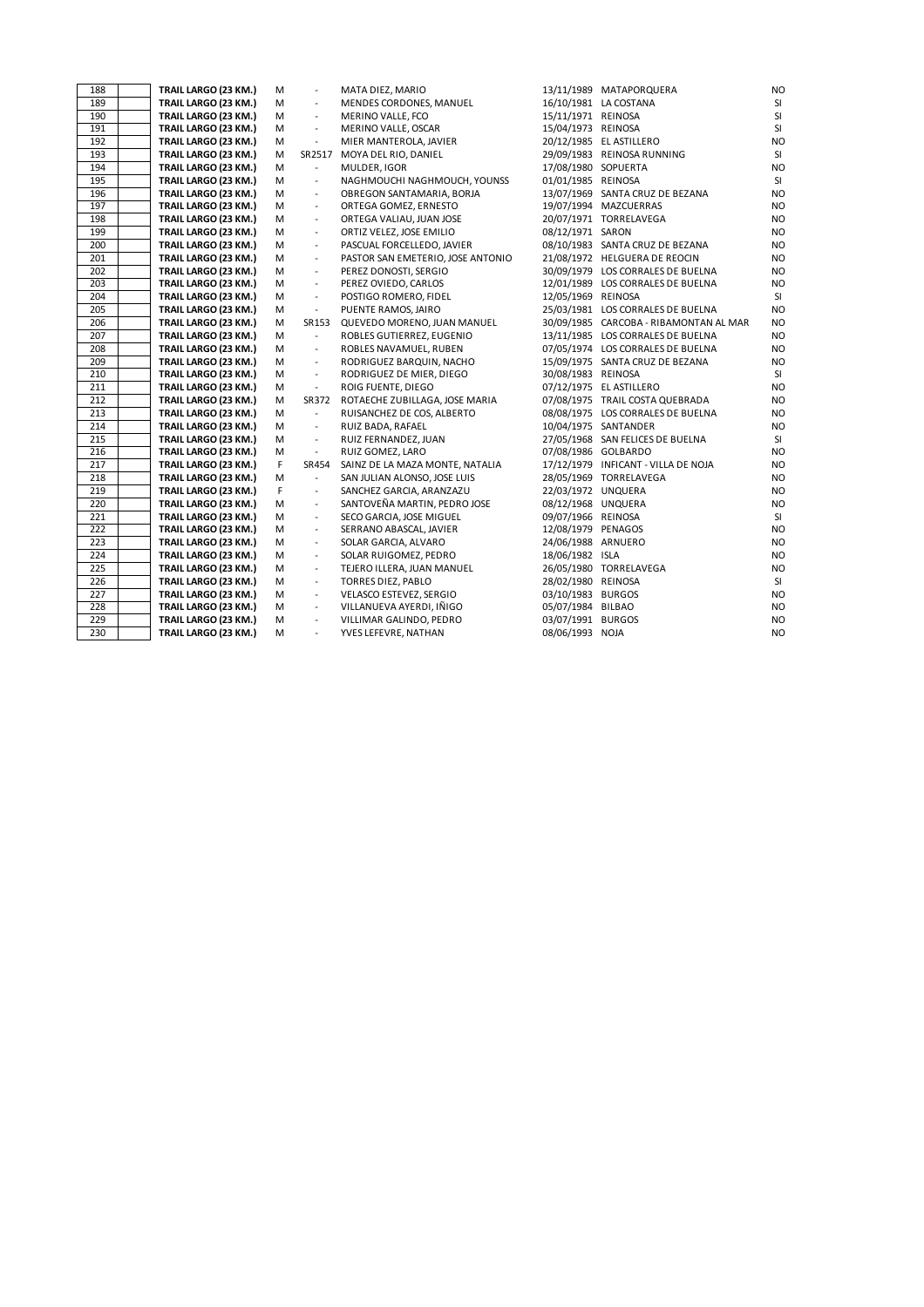| 188        | TRAIL LARGO (23 KM.)                         | М      | $\overline{\phantom{a}}$                   | MATA DIEZ, MARIO                                         |                                          | 13/11/1989 MATAPORQUERA                | <b>NO</b>              |
|------------|----------------------------------------------|--------|--------------------------------------------|----------------------------------------------------------|------------------------------------------|----------------------------------------|------------------------|
| 189        | TRAIL LARGO (23 KM.)                         | M      | $\overline{\phantom{a}}$                   | MENDES CORDONES, MANUEL                                  |                                          | 16/10/1981 LA COSTANA                  | SI                     |
| 190        | TRAIL LARGO (23 KM.)                         | М      | $\overline{\phantom{a}}$                   | MERINO VALLE, FCO                                        | 15/11/1971 REINOSA                       |                                        | SI                     |
| 191        | TRAIL LARGO (23 KM.)                         | M      | $\blacksquare$                             | MERINO VALLE, OSCAR                                      | 15/04/1973 REINOSA                       |                                        | SI                     |
| 192        | TRAIL LARGO (23 KM.)                         | M      | $\overline{\phantom{a}}$                   | MIER MANTEROLA, JAVIER                                   |                                          | 20/12/1985 EL ASTILLERO                | <b>NO</b>              |
| 193        | TRAIL LARGO (23 KM.)                         | M      | SR2517                                     | MOYA DEL RIO, DANIEL                                     |                                          | 29/09/1983 REINOSA RUNNING             | SI                     |
| 194        | TRAIL LARGO (23 KM.)                         | м      | $\blacksquare$                             | MULDER, IGOR                                             | 17/08/1980 SOPUERTA                      |                                        | <b>NO</b>              |
| 195        | TRAIL LARGO (23 KM.)                         | М      | $\overline{\phantom{a}}$                   | NAGHMOUCHI NAGHMOUCH, YOUNSS                             | 01/01/1985 REINOSA                       |                                        | SI                     |
| 196        | TRAIL LARGO (23 KM.)                         | M      | $\blacksquare$                             | OBREGON SANTAMARIA, BORJA                                |                                          | 13/07/1969 SANTA CRUZ DE BEZANA        | <b>NO</b>              |
| 197        | TRAIL LARGO (23 KM.)                         | M      | $\blacksquare$                             | ORTEGA GOMEZ, ERNESTO                                    |                                          | 19/07/1994 MAZCUERRAS                  | <b>NO</b>              |
| 198        | TRAIL LARGO (23 KM.)                         | М      | $\overline{\phantom{a}}$                   | ORTEGA VALIAU, JUAN JOSE                                 |                                          | 20/07/1971 TORRELAVEGA                 | <b>NO</b>              |
| 199        | TRAIL LARGO (23 KM.)                         | М      | $\blacksquare$                             | ORTIZ VELEZ, JOSE EMILIO                                 | 08/12/1971 SARON                         |                                        | <b>NO</b>              |
| 200        | TRAIL LARGO (23 KM.)                         | М      | $\overline{\phantom{a}}$                   | PASCUAL FORCELLEDO, JAVIER                               |                                          | 08/10/1983 SANTA CRUZ DE BEZANA        | <b>NO</b>              |
| 201        | TRAIL LARGO (23 KM.)                         | М      | $\overline{\phantom{a}}$                   | PASTOR SAN EMETERIO, JOSE ANTONIO                        |                                          | 21/08/1972 HELGUERA DE REOCIN          | <b>NO</b>              |
| 202        | TRAIL LARGO (23 KM.)                         | М      | $\overline{\phantom{a}}$                   | PEREZ DONOSTI, SERGIO                                    |                                          | 30/09/1979 LOS CORRALES DE BUELNA      | <b>NO</b>              |
| 203        | TRAIL LARGO (23 KM.)                         | M      | $\overline{\phantom{a}}$                   | PEREZ OVIEDO, CARLOS                                     |                                          | 12/01/1989 LOS CORRALES DE BUELNA      | <b>NO</b>              |
| 204        | TRAIL LARGO (23 KM.)                         | М      | $\blacksquare$                             | POSTIGO ROMERO, FIDEL                                    | 12/05/1969 REINOSA                       |                                        | SI                     |
| 205        | TRAIL LARGO (23 KM.)                         | М      | $\overline{\phantom{a}}$                   | PUENTE RAMOS, JAIRO                                      |                                          | 25/03/1981 LOS CORRALES DE BUELNA      | <b>NO</b>              |
| 206        | TRAIL LARGO (23 KM.)                         | M      | SR153                                      | QUEVEDO MORENO, JUAN MANUEL                              |                                          | 30/09/1985 CARCOBA - RIBAMONTAN AL MAR | <b>NO</b>              |
| 207        | TRAIL LARGO (23 KM.)                         | М      | $\overline{\phantom{a}}$                   | ROBLES GUTIERREZ, EUGENIO                                |                                          | 13/11/1985 LOS CORRALES DE BUELNA      | <b>NO</b>              |
| 208        | TRAIL LARGO (23 KM.)                         | M      | $\overline{\phantom{a}}$                   | ROBLES NAVAMUEL, RUBEN                                   |                                          | 07/05/1974 LOS CORRALES DE BUELNA      | <b>NO</b>              |
| 209        | TRAIL LARGO (23 KM.)                         | М      | $\overline{\phantom{a}}$                   | RODRIGUEZ BARQUIN, NACHO                                 |                                          | 15/09/1975 SANTA CRUZ DE BEZANA        | <b>NO</b>              |
| 210        | TRAIL LARGO (23 KM.)                         | M      | $\overline{\phantom{a}}$                   | RODRIGUEZ DE MIER, DIEGO                                 | 30/08/1983 REINOSA                       |                                        | SI                     |
| 211        | TRAIL LARGO (23 KM.)                         | M      | $\overline{\phantom{a}}$                   | ROIG FUENTE, DIEGO                                       |                                          | 07/12/1975 EL ASTILLERO                | N <sub>O</sub>         |
| 212        | TRAIL LARGO (23 KM.)                         | М      | SR372                                      | ROTAECHE ZUBILLAGA, JOSE MARIA                           |                                          | 07/08/1975 TRAIL COSTA QUEBRADA        | <b>NO</b>              |
| 213        | TRAIL LARGO (23 KM.)                         | м      | $\blacksquare$                             | RUISANCHEZ DE COS, ALBERTO                               |                                          | 08/08/1975 LOS CORRALES DE BUELNA      | <b>NO</b>              |
| 214        | TRAIL LARGO (23 KM.)                         | М      | $\overline{\phantom{a}}$                   | RUIZ BADA, RAFAEL                                        |                                          | 10/04/1975 SANTANDER                   | <b>NO</b>              |
| 215        | TRAIL LARGO (23 KM.)                         | M      | $\overline{\phantom{a}}$                   | RUIZ FERNANDEZ, JUAN                                     |                                          | 27/05/1968 SAN FELICES DE BUELNA       | SI                     |
| 216        | TRAIL LARGO (23 KM.)                         | M      | $\overline{\phantom{a}}$                   | RUIZ GOMEZ, LARO                                         |                                          | 07/08/1986 GOLBARDO                    | <b>NO</b>              |
| 217        | TRAIL LARGO (23 KM.)                         | F      | SR454                                      | SAINZ DE LA MAZA MONTE, NATALIA                          |                                          | 17/12/1979 INFICANT - VILLA DE NOJA    | <b>NO</b><br><b>NO</b> |
| 218        | TRAIL LARGO (23 KM.)                         | М      | $\blacksquare$                             | SAN JULIAN ALONSO, JOSE LUIS                             |                                          | 28/05/1969 TORRELAVEGA                 |                        |
| 219<br>220 | TRAIL LARGO (23 KM.)                         | F      | $\overline{\phantom{a}}$                   | SANCHEZ GARCIA, ARANZAZU<br>SANTOVEÑA MARTIN, PEDRO JOSE | 22/03/1972 UNQUERA                       |                                        | <b>NO</b>              |
| 221        | TRAIL LARGO (23 KM.)<br>TRAIL LARGO (23 KM.) | М<br>М | $\blacksquare$<br>$\overline{\phantom{a}}$ | SECO GARCIA, JOSE MIGUEL                                 | 08/12/1968 UNQUERA<br>09/07/1966 REINOSA |                                        | <b>NO</b><br>SI        |
| 222        |                                              | M      | $\overline{\phantom{a}}$                   |                                                          | 12/08/1979 PENAGOS                       |                                        | <b>NO</b>              |
| 223        | TRAIL LARGO (23 KM.)<br>TRAIL LARGO (23 KM.) | M      | $\blacksquare$                             | SERRANO ABASCAL, JAVIER<br>SOLAR GARCIA, ALVARO          | 24/06/1988 ARNUERO                       |                                        | <b>NO</b>              |
| 224        | TRAIL LARGO (23 KM.)                         | M      | $\overline{\phantom{a}}$                   | SOLAR RUIGOMEZ, PEDRO                                    | 18/06/1982 ISLA                          |                                        | <b>NO</b>              |
| 225        | TRAIL LARGO (23 KM.)                         | M      | $\overline{\phantom{a}}$                   | TEJERO ILLERA, JUAN MANUEL                               |                                          | 26/05/1980 TORRELAVEGA                 | <b>NO</b>              |
| 226        | TRAIL LARGO (23 KM.)                         | M      | $\overline{\phantom{a}}$                   | <b>TORRES DIEZ, PABLO</b>                                | 28/02/1980 REINOSA                       |                                        | SI                     |
| 227        | TRAIL LARGO (23 KM.)                         | M      | $\overline{\phantom{a}}$                   | VELASCO ESTEVEZ, SERGIO                                  | 03/10/1983 BURGOS                        |                                        | <b>NO</b>              |
| 228        | TRAIL LARGO (23 KM.)                         | M      | $\blacksquare$                             | VILLANUEVA AYERDI, IÑIGO                                 | 05/07/1984 BILBAO                        |                                        | <b>NO</b>              |
| 229        | TRAIL LARGO (23 KM.)                         | M      | $\overline{\phantom{a}}$                   | VILLIMAR GALINDO, PEDRO                                  | 03/07/1991 BURGOS                        |                                        | <b>NO</b>              |
| 230        | TRAIL LARGO (23 KM.)                         | M      | $\blacksquare$                             | YVES LEFEVRE, NATHAN                                     | 08/06/1993 NOJA                          |                                        | <b>NO</b>              |
|            |                                              |        |                                            |                                                          |                                          |                                        |                        |